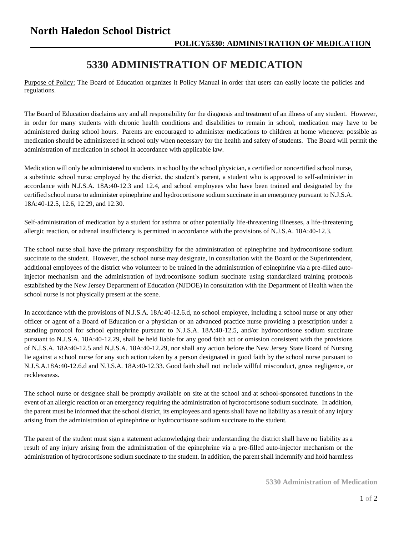## **North Haledon School District**

## **5330 ADMINISTRATION OF MEDICATION**

Purpose of Policy: The Board of Education organizes it Policy Manual in order that users can easily locate the policies and regulations.

The Board of Education disclaims any and all responsibility for the diagnosis and treatment of an illness of any student. However, in order for many students with chronic health conditions and disabilities to remain in school, medication may have to be administered during school hours. Parents are encouraged to administer medications to children at home whenever possible as medication should be administered in school only when necessary for the health and safety of students. The Board will permit the administration of medication in school in accordance with applicable law.

Medication will only be administered to students in school by the school physician, a certified or noncertified school nurse, a substitute school nurse employed by the district, the student's parent, a student who is approved to self-administer in accordance with N.J.S.A. 18A:40-12.3 and 12.4, and school employees who have been trained and designated by the certified school nurse to administer epinephrine and hydrocortisone sodium succinate in an emergency pursuant to N.J.S.A. 18A:40-12.5, 12.6, 12.29, and 12.30.

Self-administration of medication by a student for asthma or other potentially life-threatening illnesses, a life-threatening allergic reaction, or adrenal insufficiency is permitted in accordance with the provisions of N.J.S.A. 18A:40-12.3.

The school nurse shall have the primary responsibility for the administration of epinephrine and hydrocortisone sodium succinate to the student. However, the school nurse may designate, in consultation with the Board or the Superintendent, additional employees of the district who volunteer to be trained in the administration of epinephrine via a pre-filled autoinjector mechanism and the administration of hydrocortisone sodium succinate using standardized training protocols established by the New Jersey Department of Education (NJDOE) in consultation with the Department of Health when the school nurse is not physically present at the scene.

In accordance with the provisions of N.J.S.A. 18A:40-12.6.d, no school employee, including a school nurse or any other officer or agent of a Board of Education or a physician or an advanced practice nurse providing a prescription under a standing protocol for school epinephrine pursuant to N.J.S.A. 18A:40-12.5, and/or hydrocortisone sodium succinate pursuant to N.J.S.A. 18A:40-12.29, shall be held liable for any good faith act or omission consistent with the provisions of N.J.S.A. 18A:40-12.5 and N.J.S.A. 18A:40-12.29, nor shall any action before the New Jersey State Board of Nursing lie against a school nurse for any such action taken by a person designated in good faith by the school nurse pursuant to N.J.S.A.18A:40-12.6.d and N.J.S.A. 18A:40-12.33. Good faith shall not include willful misconduct, gross negligence, or recklessness.

The school nurse or designee shall be promptly available on site at the school and at school-sponsored functions in the event of an allergic reaction or an emergency requiring the administration of hydrocortisone sodium succinate. In addition, the parent must be informed that the school district, its employees and agents shall have no liability as a result of any injury arising from the administration of epinephrine or hydrocortisone sodium succinate to the student.

The parent of the student must sign a statement acknowledging their understanding the district shall have no liability as a result of any injury arising from the administration of the epinephrine via a pre-filled auto-injector mechanism or the administration of hydrocortisone sodium succinate to the student. In addition, the parent shall indemnify and hold harmless